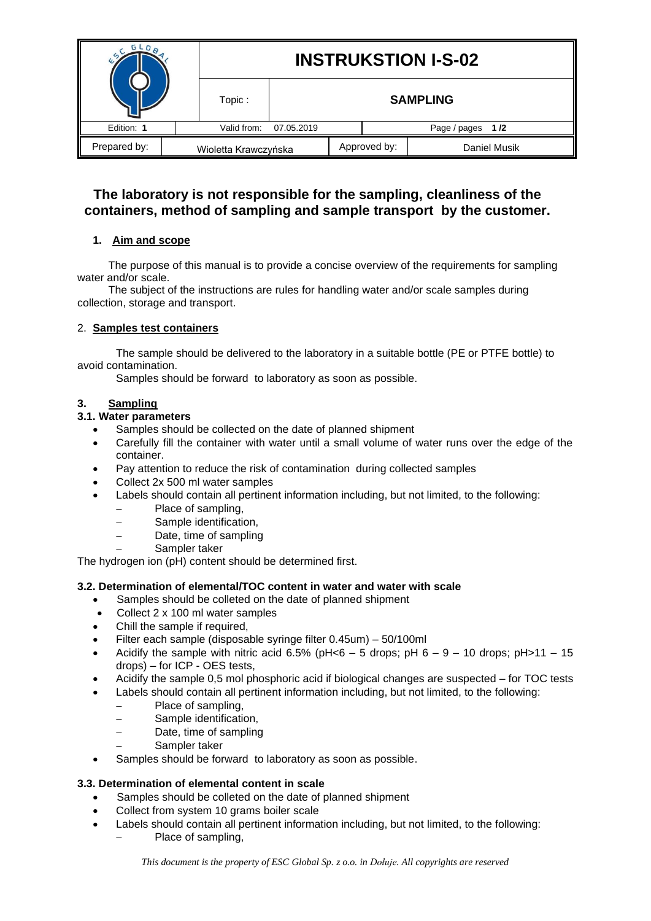|              |  | <b>INSTRUKSTION I-S-02</b> |                 |  |                  |              |  |
|--------------|--|----------------------------|-----------------|--|------------------|--------------|--|
|              |  | Topic:                     | <b>SAMPLING</b> |  |                  |              |  |
| Edition: 1   |  | Valid from:<br>07.05.2019  |                 |  | Page / pages 1/2 |              |  |
| Prepared by: |  | Wioletta Krawczyńska       |                 |  | Approved by:     | Daniel Musik |  |

# **The laboratory is not responsible for the sampling, cleanliness of the containers, method of sampling and sample transport by the customer.**

# **1. Aim and scope**

The purpose of this manual is to provide a concise overview of the requirements for sampling water and/or scale.

The subject of the instructions are rules for handling water and/or scale samples during collection, storage and transport.

## 2. **Samples test containers**

The sample should be delivered to the laboratory in a suitable bottle (PE or PTFE bottle) to avoid contamination.

Samples should be forward to laboratory as soon as possible.

# **3. Sampling**

## **3.1. Water parameters**

- Samples should be collected on the date of planned shipment
- Carefully fill the container with water until a small volume of water runs over the edge of the container.
- Pay attention to reduce the risk of contamination during collected samples
- Collect 2x 500 ml water samples
- Labels should contain all pertinent information including, but not limited, to the following:
	- − Place of sampling,
	- Sample identification.
	- − Date, time of sampling
	- Sampler taker

The hydrogen ion (pH) content should be determined first.

### **3.2. Determination of elemental/TOC content in water and water with scale**

- Samples should be colleted on the date of planned shipment
- Collect 2 x 100 ml water samples
- Chill the sample if required.
- Filter each sample (disposable syringe filter 0.45um) 50/100ml
- Acidify the sample with nitric acid 6.5% (pH<6 5 drops; pH  $6 9 10$  drops; pH>11 15 drops) – for ICP - OES tests,
- Acidify the sample 0,5 mol phosphoric acid if biological changes are suspected for TOC tests
- Labels should contain all pertinent information including, but not limited, to the following:
	- − Place of sampling,
	- − Sample identification,
	- − Date, time of sampling
	- − Sampler taker
- Samples should be forward to laboratory as soon as possible.

#### **3.3. Determination of elemental content in scale**

- Samples should be colleted on the date of planned shipment
- Collect from system 10 grams boiler scale
- Labels should contain all pertinent information including, but not limited, to the following:
	- − Place of sampling,